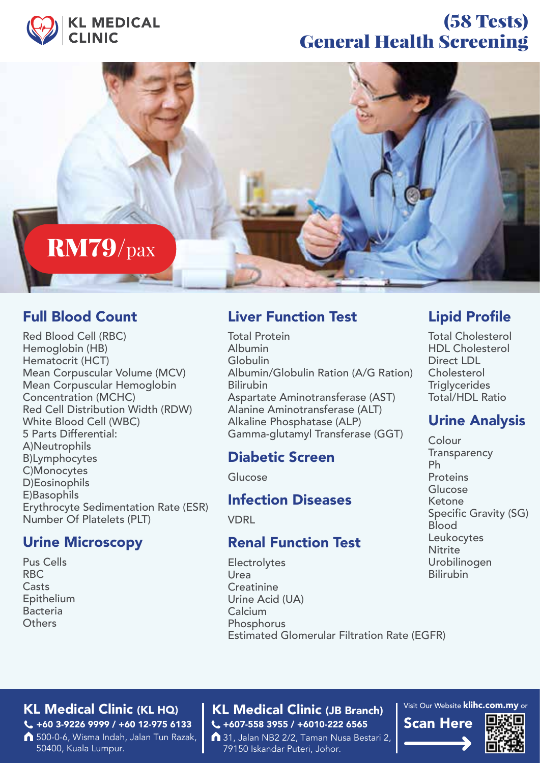

## (58 Tests) General Health Screening



### Full Blood Count

Red Blood Cell (RBC) Hemoglobin (HB) Hematocrit (HCT) Mean Corpuscular Volume (MCV) Mean Corpuscular Hemoglobin Concentration (MCHC) Red Cell Distribution Width (RDW) White Blood Cell (WBC) 5 Parts Differential: A)Neutrophils B)Lymphocytes C)Monocytes D)Eosinophils E)Basophils Erythrocyte Sedimentation Rate (ESR) Number Of Platelets (PLT)

### Urine Microscopy

Pus Cells RBC **Casts** Epithelium **Bacteria Others** 

### Liver Function Test

Total Protein Albumin Globulin Albumin/Globulin Ration (A/G Ration) Bilirubin Aspartate Aminotransferase (AST) Alanine Aminotransferase (ALT) Alkaline Phosphatase (ALP) Gamma-glutamyl Transferase (GGT)

### Diabetic Screen

Glucose

### Infection Diseases

**VDRL** 

### Renal Function Test

Electrolytes Urea **Creatinine** Urine Acid (UA) Calcium Phosphorus Estimated Glomerular Filtration Rate (EGFR)

### Lipid Profile

Total Cholesterol HDL Cholesterol Direct LDL Cholesterol **Triglycerides** Total/HDL Ratio

### Urine Analysis

Colour **Transparency** Ph Proteins Glucose Ketone Specific Gravity (SG) Blood Leukocytes **Nitrite** Urobilinogen Bilirubin

#### KL Medical Clinic (KL HQ) | KL Medical Clinic (JB Branch) +60 3-9226 9999 / +60 12-975 6133

500-0-6, Wisma Indah, Jalan Tun Razak, 50400, Kuala Lumpur.

## C +607-558 3955 / +6010-222 6565 Scan Here

31, Jalan NB2 2/2, Taman Nusa Bestari 2, 79150 Iskandar Puteri, Johor.

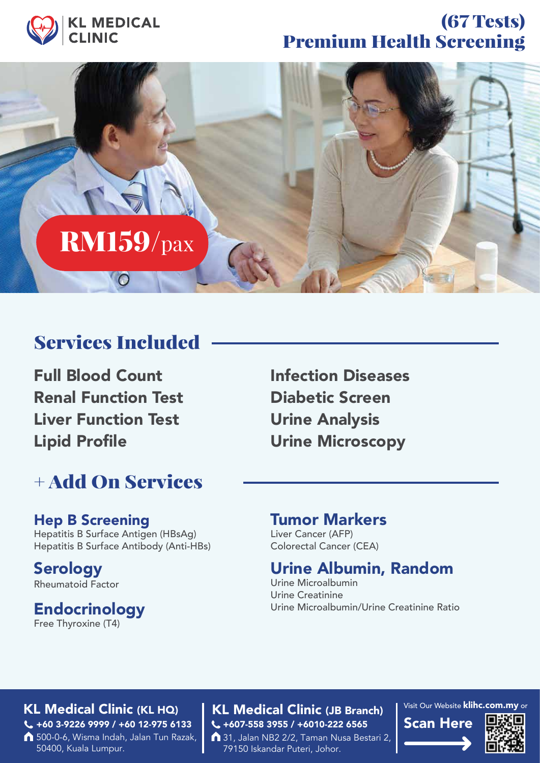

## (67 Tests) Premium Health Screening



## Services Included

Full Blood Count Renal Function Test Liver Function Test Lipid Profile

## + Add On Services

### Hep B Screening

Hepatitis B Surface Antigen (HBsAg) Hepatitis B Surface Antibody (Anti-HBs)

**Serology** Rheumatoid Factor

### **Endocrinology**

Free Thyroxine (T4)

Infection Diseases Diabetic Screen Urine Analysis Urine Microscopy

### Tumor Markers

Liver Cancer (AFP) Colorectal Cancer (CEA)

### Urine Albumin, Random

Urine Microalbumin Urine Creatinine Urine Microalbumin/Urine Creatinine Ratio

#### KL Medical Clinic (KL HQ) | KL Medical Clinic (JB Branch) +60 3-9226 9999 / +60 12-975 6133

500-0-6, Wisma Indah, Jalan Tun Razak, 50400, Kuala Lumpur.

# C +607-558 3955 / +6010-222 6565 Scan Here

31, Jalan NB2 2/2, Taman Nusa Bestari 2, 79150 Iskandar Puteri, Johor.

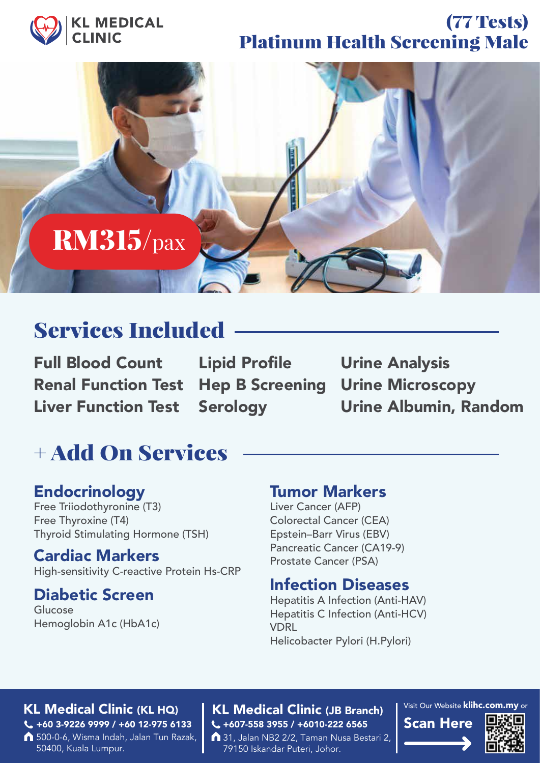

## (77 Tests) Platinum Health Screening Male



## Services Included

Full Blood Count Renal Function Test Liver Function Test

Lipid Profile **Serology** 

Urine Analysis Hep B Screening Urine Microscopy Urine Albumin, Random

# + Add On Services

### Endocrinology

Free Triiodothyronine (T3) Free Thyroxine (T4) Thyroid Stimulating Hormone (TSH)

### Cardiac Markers

High-sensitivity C-reactive Protein Hs-CRP

### Diabetic Screen

Glucose Hemoglobin A1c (HbA1c)

### Tumor Markers

Liver Cancer (AFP) Colorectal Cancer (CEA) Epstein–Barr Virus (EBV) Pancreatic Cancer (CA19-9) Prostate Cancer (PSA)

### Infection Diseases

Hepatitis A Infection (Anti-HAV) Hepatitis C Infection (Anti-HCV) **VDRL** Helicobacter Pylori (H.Pylori)

#### KL Medical Clinic (KL HQ) | KL Medical Clinic (JB Branch) +60 3-9226 9999 / +60 12-975 6133

500-0-6, Wisma Indah, Jalan Tun Razak, 50400, Kuala Lumpur.

## C +607-558 3955 / +6010-222 6565 Scan Here

31, Jalan NB2 2/2, Taman Nusa Bestari 2, 79150 Iskandar Puteri, Johor.